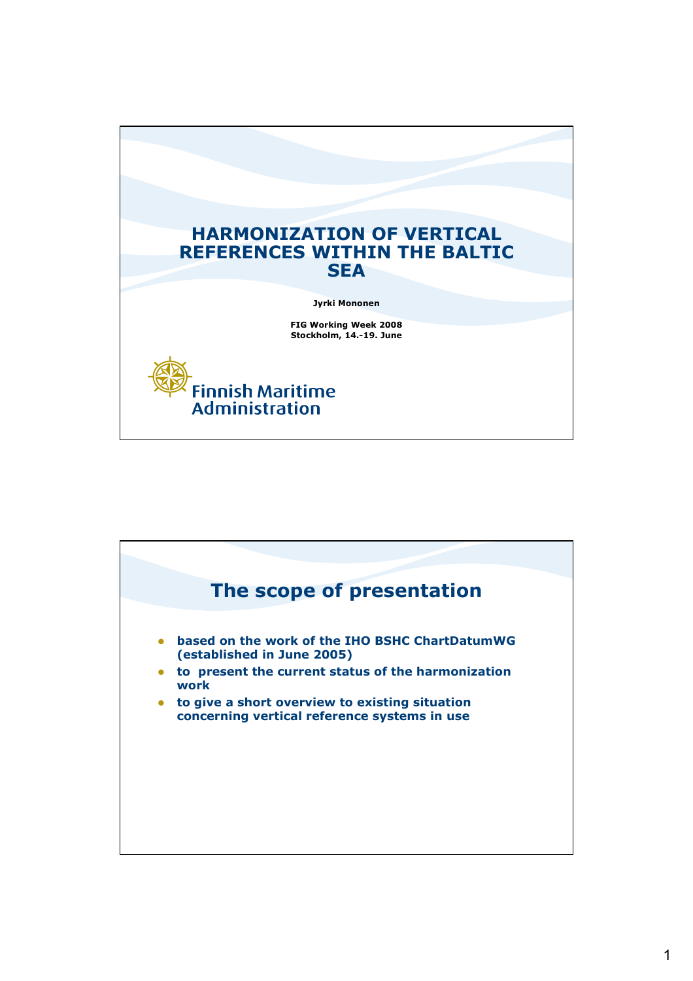

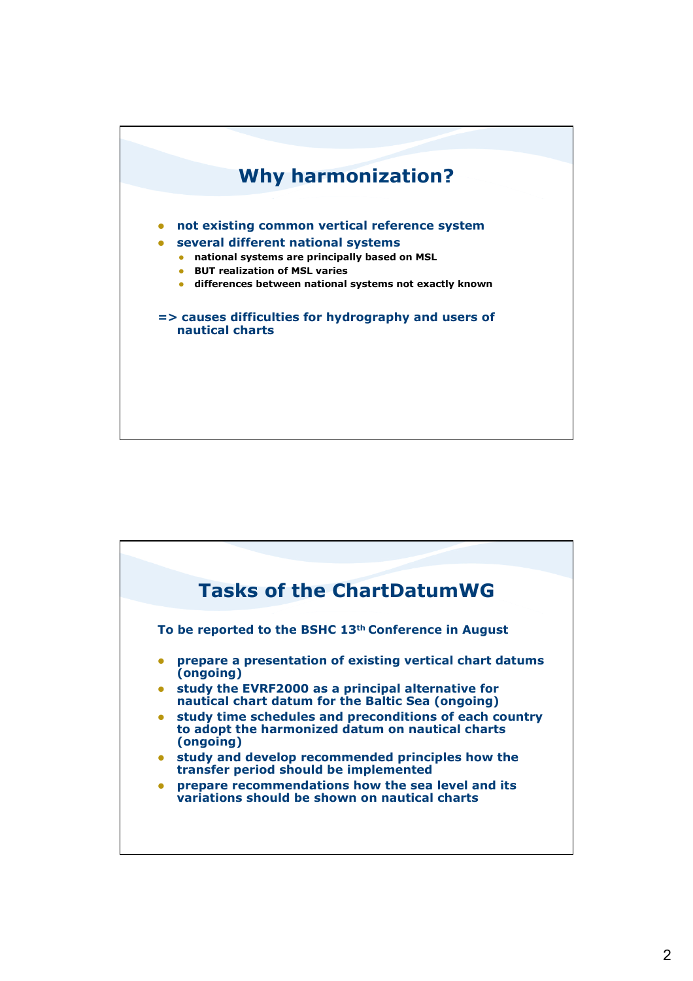

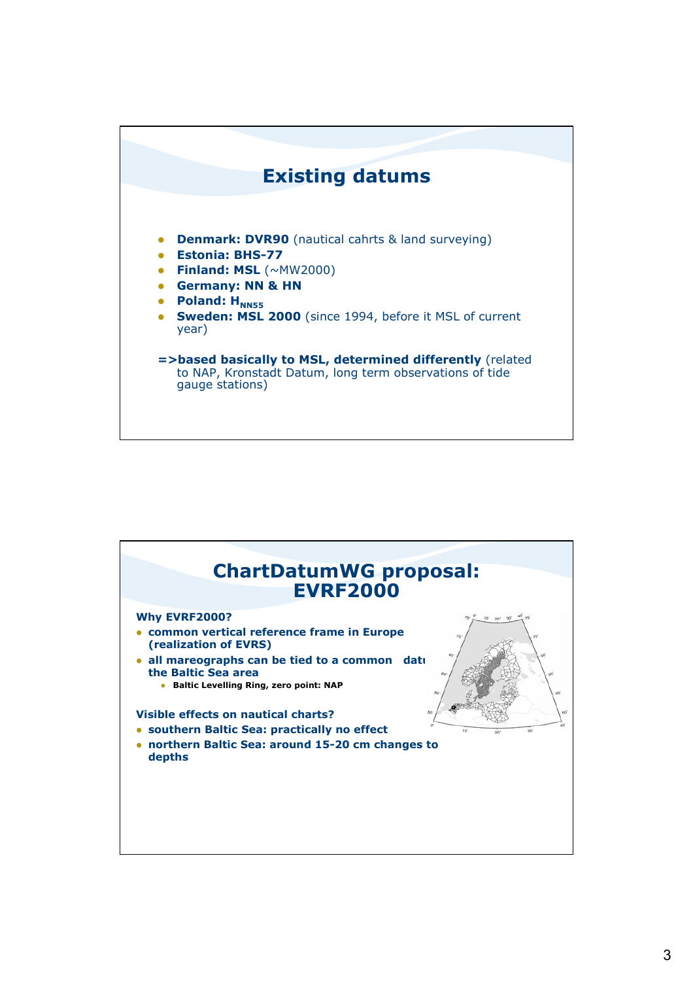